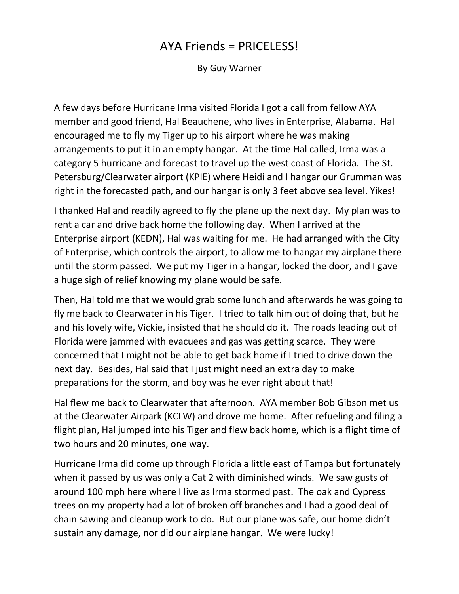## AYA Friends = PRICELESS!

By Guy Warner

A few days before Hurricane Irma visited Florida I got a call from fellow AYA member and good friend, Hal Beauchene, who lives in Enterprise, Alabama. Hal encouraged me to fly my Tiger up to his airport where he was making arrangements to put it in an empty hangar. At the time Hal called, Irma was a category 5 hurricane and forecast to travel up the west coast of Florida. The St. Petersburg/Clearwater airport (KPIE) where Heidi and I hangar our Grumman was right in the forecasted path, and our hangar is only 3 feet above sea level. Yikes!

I thanked Hal and readily agreed to fly the plane up the next day. My plan was to rent a car and drive back home the following day. When I arrived at the Enterprise airport (KEDN), Hal was waiting for me. He had arranged with the City of Enterprise, which controls the airport, to allow me to hangar my airplane there until the storm passed. We put my Tiger in a hangar, locked the door, and I gave a huge sigh of relief knowing my plane would be safe.

Then, Hal told me that we would grab some lunch and afterwards he was going to fly me back to Clearwater in his Tiger. I tried to talk him out of doing that, but he and his lovely wife, Vickie, insisted that he should do it. The roads leading out of Florida were jammed with evacuees and gas was getting scarce. They were concerned that I might not be able to get back home if I tried to drive down the next day. Besides, Hal said that I just might need an extra day to make preparations for the storm, and boy was he ever right about that!

Hal flew me back to Clearwater that afternoon. AYA member Bob Gibson met us at the Clearwater Airpark (KCLW) and drove me home. After refueling and filing a flight plan, Hal jumped into his Tiger and flew back home, which is a flight time of two hours and 20 minutes, one way.

Hurricane Irma did come up through Florida a little east of Tampa but fortunately when it passed by us was only a Cat 2 with diminished winds. We saw gusts of around 100 mph here where I live as Irma stormed past. The oak and Cypress trees on my property had a lot of broken off branches and I had a good deal of chain sawing and cleanup work to do. But our plane was safe, our home didn't sustain any damage, nor did our airplane hangar. We were lucky!